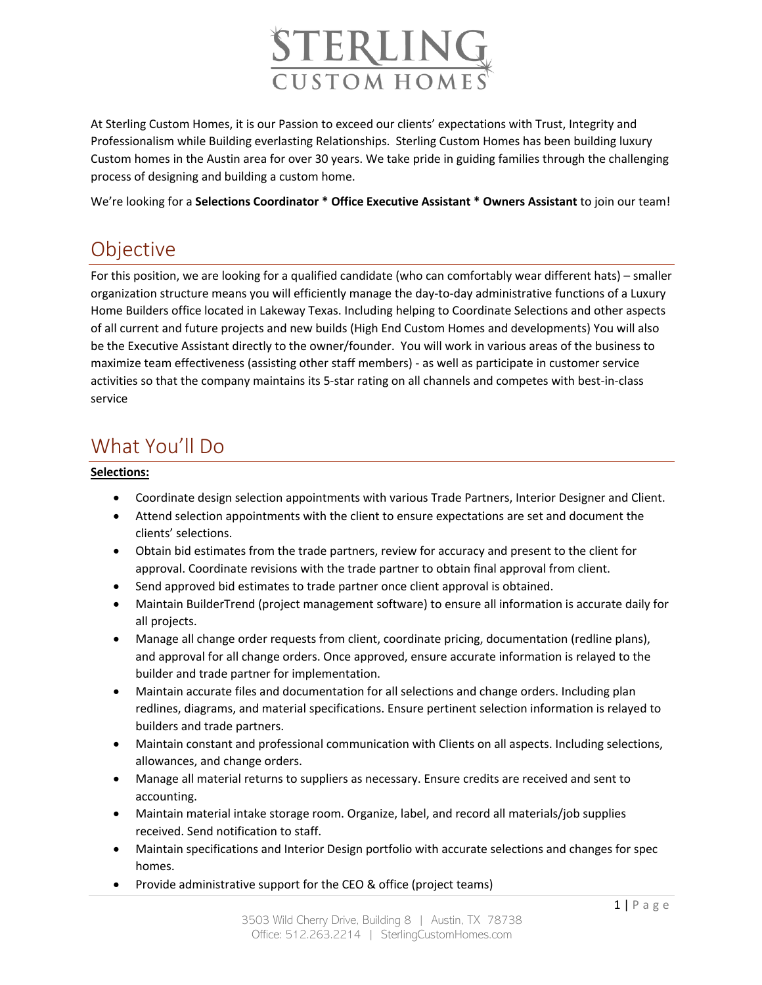

At Sterling Custom Homes, it is our Passion to exceed our clients' expectations with Trust, Integrity and Professionalism while Building everlasting Relationships. Sterling Custom Homes has been building luxury Custom homes in the Austin area for over 30 years. We take pride in guiding families through the challenging process of designing and building a custom home.

We're looking for a **Selections Coordinator \* Office Executive Assistant \* Owners Assistant** to join our team!

# Objective

For this position, we are looking for a qualified candidate (who can comfortably wear different hats) – smaller organization structure means you will efficiently manage the day-to-day administrative functions of a Luxury Home Builders office located in Lakeway Texas. Including helping to Coordinate Selections and other aspects of all current and future projects and new builds (High End Custom Homes and developments) You will also be the Executive Assistant directly to the owner/founder. You will work in various areas of the business to maximize team effectiveness (assisting other staff members) - as well as participate in customer service activities so that the company maintains its 5-star rating on all channels and competes with best-in-class service

## What You'll Do

#### **Selections:**

- Coordinate design selection appointments with various Trade Partners, Interior Designer and Client.
- Attend selection appointments with the client to ensure expectations are set and document the clients' selections.
- Obtain bid estimates from the trade partners, review for accuracy and present to the client for approval. Coordinate revisions with the trade partner to obtain final approval from client.
- Send approved bid estimates to trade partner once client approval is obtained.
- Maintain BuilderTrend (project management software) to ensure all information is accurate daily for all projects.
- Manage all change order requests from client, coordinate pricing, documentation (redline plans), and approval for all change orders. Once approved, ensure accurate information is relayed to the builder and trade partner for implementation.
- Maintain accurate files and documentation for all selections and change orders. Including plan redlines, diagrams, and material specifications. Ensure pertinent selection information is relayed to builders and trade partners.
- Maintain constant and professional communication with Clients on all aspects. Including selections, allowances, and change orders.
- Manage all material returns to suppliers as necessary. Ensure credits are received and sent to accounting.
- Maintain material intake storage room. Organize, label, and record all materials/job supplies received. Send notification to staff.
- Maintain specifications and Interior Design portfolio with accurate selections and changes for spec homes.
- Provide administrative support for the CEO & office (project teams)